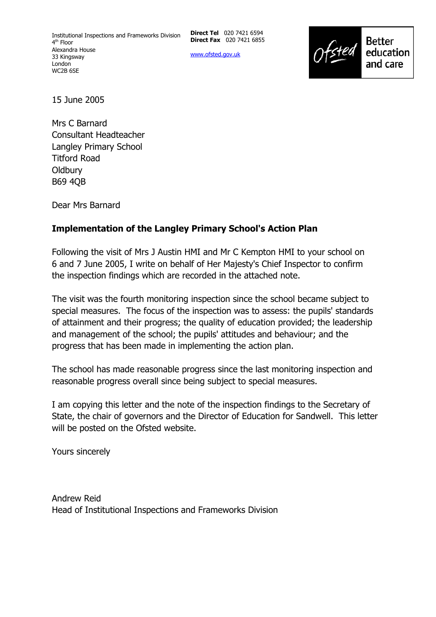**Direct Tel** 020 7421 6594 **Direct Fax** 020 7421 6855

www.ofsted.gov.uk



15 June 2005

Mrs C Barnard Consultant Headteacher Langley Primary School Titford Road **Oldbury** B69 4QB

Dear Mrs Barnard

# **Implementation of the Langley Primary School's Action Plan**

Following the visit of Mrs J Austin HMI and Mr C Kempton HMI to your school on 6 and 7 June 2005, I write on behalf of Her Majesty's Chief Inspector to confirm the inspection findings which are recorded in the attached note.

The visit was the fourth monitoring inspection since the school became subject to special measures. The focus of the inspection was to assess: the pupils' standards of attainment and their progress; the quality of education provided; the leadership and management of the school; the pupils' attitudes and behaviour; and the progress that has been made in implementing the action plan.

The school has made reasonable progress since the last monitoring inspection and reasonable progress overall since being subject to special measures.

I am copying this letter and the note of the inspection findings to the Secretary of State, the chair of governors and the Director of Education for Sandwell. This letter will be posted on the Ofsted website.

Yours sincerely

Andrew Reid Head of Institutional Inspections and Frameworks Division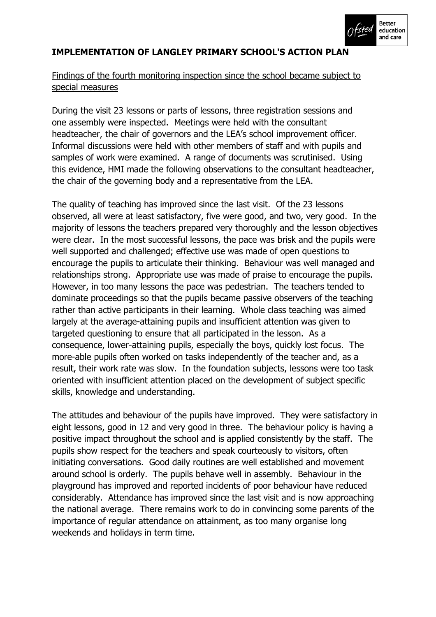

# **IMPLEMENTATION OF LANGLEY PRIMARY SCHOOL'S ACTION PLAN**

# Findings of the fourth monitoring inspection since the school became subject to special measures

During the visit 23 lessons or parts of lessons, three registration sessions and one assembly were inspected. Meetings were held with the consultant headteacher, the chair of governors and the LEA's school improvement officer. Informal discussions were held with other members of staff and with pupils and samples of work were examined. A range of documents was scrutinised. Using this evidence, HMI made the following observations to the consultant headteacher, the chair of the governing body and a representative from the LEA.

The quality of teaching has improved since the last visit. Of the 23 lessons observed, all were at least satisfactory, five were good, and two, very good. In the majority of lessons the teachers prepared very thoroughly and the lesson objectives were clear. In the most successful lessons, the pace was brisk and the pupils were well supported and challenged; effective use was made of open questions to encourage the pupils to articulate their thinking. Behaviour was well managed and relationships strong. Appropriate use was made of praise to encourage the pupils. However, in too many lessons the pace was pedestrian. The teachers tended to dominate proceedings so that the pupils became passive observers of the teaching rather than active participants in their learning. Whole class teaching was aimed largely at the average-attaining pupils and insufficient attention was given to targeted questioning to ensure that all participated in the lesson. As a consequence, lower-attaining pupils, especially the boys, quickly lost focus. The more-able pupils often worked on tasks independently of the teacher and, as a result, their work rate was slow. In the foundation subjects, lessons were too task oriented with insufficient attention placed on the development of subject specific skills, knowledge and understanding.

The attitudes and behaviour of the pupils have improved. They were satisfactory in eight lessons, good in 12 and very good in three. The behaviour policy is having a positive impact throughout the school and is applied consistently by the staff. The pupils show respect for the teachers and speak courteously to visitors, often initiating conversations. Good daily routines are well established and movement around school is orderly. The pupils behave well in assembly. Behaviour in the playground has improved and reported incidents of poor behaviour have reduced considerably. Attendance has improved since the last visit and is now approaching the national average. There remains work to do in convincing some parents of the importance of regular attendance on attainment, as too many organise long weekends and holidays in term time.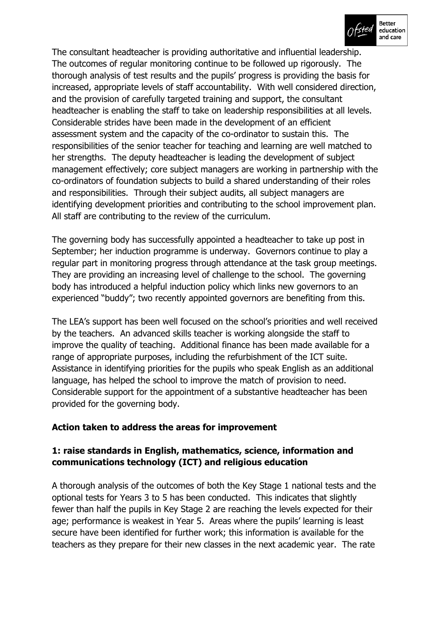

The consultant headteacher is providing authoritative and influential leadership. The outcomes of regular monitoring continue to be followed up rigorously. The thorough analysis of test results and the pupils' progress is providing the basis for increased, appropriate levels of staff accountability. With well considered direction, and the provision of carefully targeted training and support, the consultant headteacher is enabling the staff to take on leadership responsibilities at all levels. Considerable strides have been made in the development of an efficient assessment system and the capacity of the co-ordinator to sustain this. The responsibilities of the senior teacher for teaching and learning are well matched to her strengths. The deputy headteacher is leading the development of subject management effectively; core subject managers are working in partnership with the co-ordinators of foundation subjects to build a shared understanding of their roles and responsibilities. Through their subject audits, all subject managers are identifying development priorities and contributing to the school improvement plan. All staff are contributing to the review of the curriculum.

The governing body has successfully appointed a headteacher to take up post in September; her induction programme is underway. Governors continue to play a regular part in monitoring progress through attendance at the task group meetings. They are providing an increasing level of challenge to the school. The governing body has introduced a helpful induction policy which links new governors to an experienced "buddy"; two recently appointed governors are benefiting from this.

The LEA's support has been well focused on the school's priorities and well received by the teachers. An advanced skills teacher is working alongside the staff to improve the quality of teaching. Additional finance has been made available for a range of appropriate purposes, including the refurbishment of the ICT suite. Assistance in identifying priorities for the pupils who speak English as an additional language, has helped the school to improve the match of provision to need. Considerable support for the appointment of a substantive headteacher has been provided for the governing body.

#### **Action taken to address the areas for improvement**

#### **1: raise standards in English, mathematics, science, information and communications technology (ICT) and religious education**

A thorough analysis of the outcomes of both the Key Stage 1 national tests and the optional tests for Years 3 to 5 has been conducted. This indicates that slightly fewer than half the pupils in Key Stage 2 are reaching the levels expected for their age; performance is weakest in Year 5. Areas where the pupils' learning is least secure have been identified for further work; this information is available for the teachers as they prepare for their new classes in the next academic year. The rate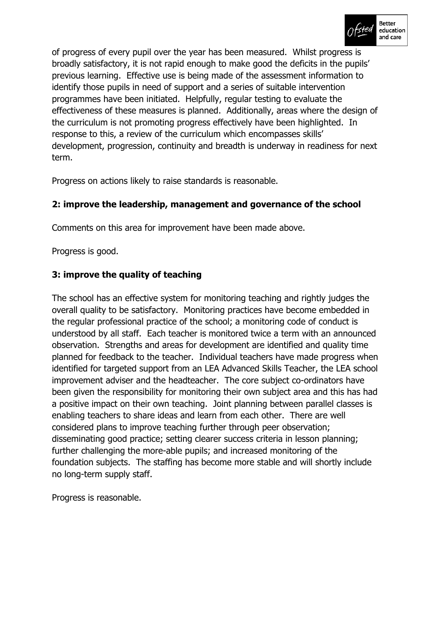

of progress of every pupil over the year has been measured. Whilst progress is broadly satisfactory, it is not rapid enough to make good the deficits in the pupils' previous learning. Effective use is being made of the assessment information to identify those pupils in need of support and a series of suitable intervention programmes have been initiated. Helpfully, regular testing to evaluate the effectiveness of these measures is planned. Additionally, areas where the design of the curriculum is not promoting progress effectively have been highlighted. In response to this, a review of the curriculum which encompasses skills' development, progression, continuity and breadth is underway in readiness for next term.

Progress on actions likely to raise standards is reasonable.

# **2: improve the leadership, management and governance of the school**

Comments on this area for improvement have been made above.

Progress is good.

# **3: improve the quality of teaching**

The school has an effective system for monitoring teaching and rightly judges the overall quality to be satisfactory. Monitoring practices have become embedded in the regular professional practice of the school; a monitoring code of conduct is understood by all staff. Each teacher is monitored twice a term with an announced observation. Strengths and areas for development are identified and quality time planned for feedback to the teacher. Individual teachers have made progress when identified for targeted support from an LEA Advanced Skills Teacher, the LEA school improvement adviser and the headteacher. The core subject co-ordinators have been given the responsibility for monitoring their own subject area and this has had a positive impact on their own teaching. Joint planning between parallel classes is enabling teachers to share ideas and learn from each other. There are well considered plans to improve teaching further through peer observation; disseminating good practice; setting clearer success criteria in lesson planning; further challenging the more-able pupils; and increased monitoring of the foundation subjects. The staffing has become more stable and will shortly include no long-term supply staff.

Progress is reasonable.